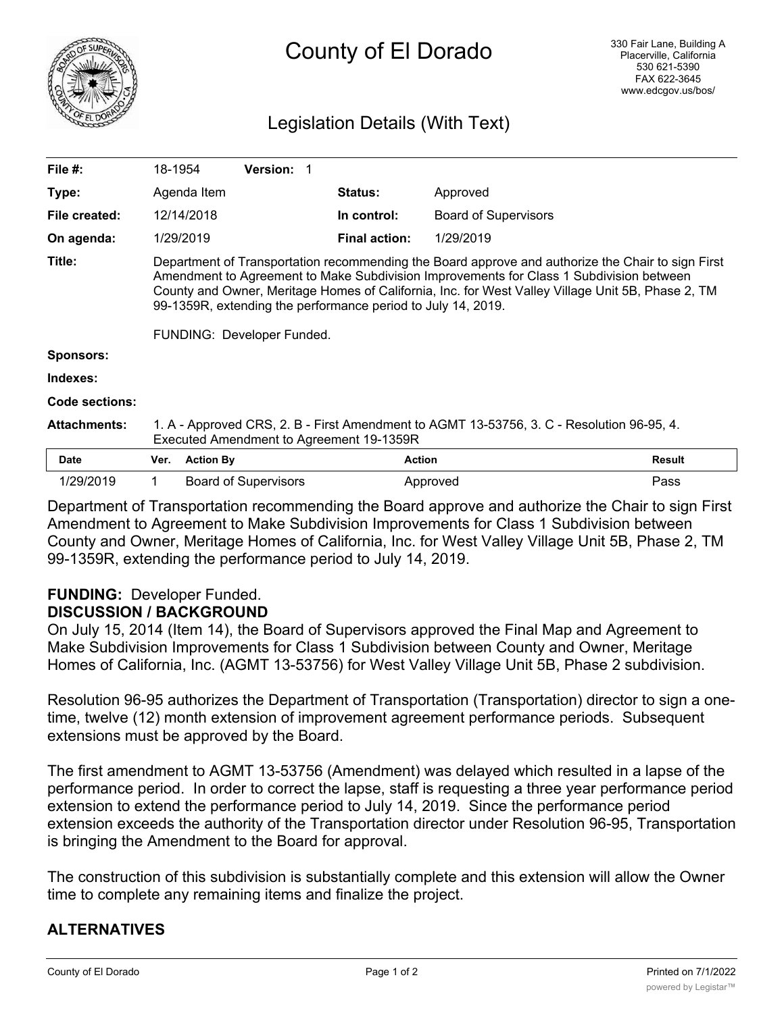

# Legislation Details (With Text)

| File $#$ :          | 18-1954                                                                                                                                                                                                                                                                                                                                                                                         |                  | <b>Version:</b>             |                      |                             |               |
|---------------------|-------------------------------------------------------------------------------------------------------------------------------------------------------------------------------------------------------------------------------------------------------------------------------------------------------------------------------------------------------------------------------------------------|------------------|-----------------------------|----------------------|-----------------------------|---------------|
| Type:               |                                                                                                                                                                                                                                                                                                                                                                                                 | Agenda Item      |                             | <b>Status:</b>       | Approved                    |               |
| File created:       |                                                                                                                                                                                                                                                                                                                                                                                                 | 12/14/2018       |                             | In control:          | <b>Board of Supervisors</b> |               |
| On agenda:          | 1/29/2019                                                                                                                                                                                                                                                                                                                                                                                       |                  |                             | <b>Final action:</b> | 1/29/2019                   |               |
| Title:              | Department of Transportation recommending the Board approve and authorize the Chair to sign First<br>Amendment to Agreement to Make Subdivision Improvements for Class 1 Subdivision between<br>County and Owner, Meritage Homes of California, Inc. for West Valley Village Unit 5B, Phase 2, TM<br>99-1359R, extending the performance period to July 14, 2019.<br>FUNDING: Developer Funded. |                  |                             |                      |                             |               |
| Sponsors:           |                                                                                                                                                                                                                                                                                                                                                                                                 |                  |                             |                      |                             |               |
| Indexes:            |                                                                                                                                                                                                                                                                                                                                                                                                 |                  |                             |                      |                             |               |
| Code sections:      |                                                                                                                                                                                                                                                                                                                                                                                                 |                  |                             |                      |                             |               |
| <b>Attachments:</b> | 1. A - Approved CRS, 2. B - First Amendment to AGMT 13-53756, 3. C - Resolution 96-95, 4.<br>Executed Amendment to Agreement 19-1359R                                                                                                                                                                                                                                                           |                  |                             |                      |                             |               |
| <b>Date</b>         | Ver.                                                                                                                                                                                                                                                                                                                                                                                            | <b>Action By</b> |                             | <b>Action</b>        |                             | <b>Result</b> |
| 1/29/2019           | 1                                                                                                                                                                                                                                                                                                                                                                                               |                  | <b>Board of Supervisors</b> |                      | Approved                    | Pass          |

Department of Transportation recommending the Board approve and authorize the Chair to sign First Amendment to Agreement to Make Subdivision Improvements for Class 1 Subdivision between County and Owner, Meritage Homes of California, Inc. for West Valley Village Unit 5B, Phase 2, TM 99-1359R, extending the performance period to July 14, 2019.

## **FUNDING:** Developer Funded. **DISCUSSION / BACKGROUND**

On July 15, 2014 (Item 14), the Board of Supervisors approved the Final Map and Agreement to Make Subdivision Improvements for Class 1 Subdivision between County and Owner, Meritage Homes of California, Inc. (AGMT 13-53756) for West Valley Village Unit 5B, Phase 2 subdivision.

Resolution 96-95 authorizes the Department of Transportation (Transportation) director to sign a onetime, twelve (12) month extension of improvement agreement performance periods. Subsequent extensions must be approved by the Board.

The first amendment to AGMT 13-53756 (Amendment) was delayed which resulted in a lapse of the performance period. In order to correct the lapse, staff is requesting a three year performance period extension to extend the performance period to July 14, 2019. Since the performance period extension exceeds the authority of the Transportation director under Resolution 96-95, Transportation is bringing the Amendment to the Board for approval.

The construction of this subdivision is substantially complete and this extension will allow the Owner time to complete any remaining items and finalize the project.

## **ALTERNATIVES**